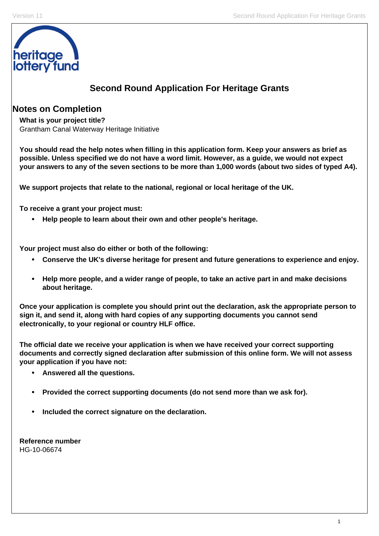

# **Second Round Application For Heritage Grants**

# **Notes on Completion**

**What is your project title?**  Grantham Canal Waterway Heritage Initiative

**You should read the help notes when filling in this application form. Keep your answers as brief as possible. Unless specified we do not have a word limit. However, as a guide, we would not expect your answers to any of the seven sections to be more than 1,000 words (about two sides of typed A4).** 

**We support projects that relate to the national, regional or local heritage of the UK.** 

**To receive a grant your project must:** 

• **Help people to learn about their own and other people's heritage.** 

**Your project must also do either or both of the following:** 

- **Conserve the UK's diverse heritage for present and future generations to experience and enjoy.**
- **Help more people, and a wider range of people, to take an active part in and make decisions about heritage.**

**Once your application is complete you should print out the declaration, ask the appropriate person to sign it, and send it, along with hard copies of any supporting documents you cannot send electronically, to your regional or country HLF office.** 

**The official date we receive your application is when we have received your correct supporting documents and correctly signed declaration after submission of this online form. We will not assess your application if you have not:** 

- **Answered all the questions.**
- **Provided the correct supporting documents (do not send more than we ask for).**
- **Included the correct signature on the declaration.**

**Reference number**  HG-10-06674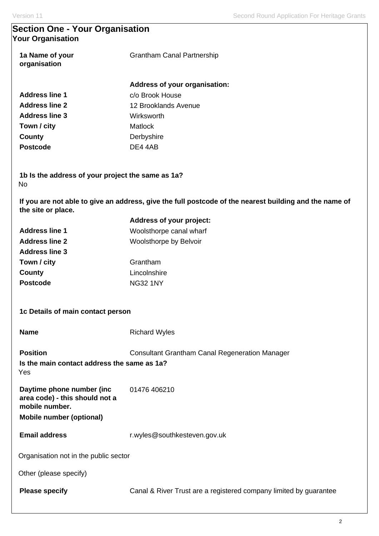# **Section One - Your Organisation Your Organisation**

| 1a Name of your<br>organisation | <b>Grantham Canal Partnership</b>                                                                      |
|---------------------------------|--------------------------------------------------------------------------------------------------------|
|                                 | Address of your organisation:                                                                          |
| <b>Address line 1</b>           | c/o Brook House                                                                                        |
| <b>Address line 2</b>           | 12 Brooklands Avenue                                                                                   |
| <b>Address line 3</b>           | Wirksworth                                                                                             |
| Town / city                     | <b>Matlock</b>                                                                                         |
| County                          | Derbyshire                                                                                             |
| <b>Postcode</b>                 | DE4 4AB                                                                                                |
| No.                             | 1b Is the address of your project the same as 1a?                                                      |
| the site or place.              | If you are not able to give an address, give the full postcode of the nearest building and the name of |

|                       | <b>Address of your project:</b> |
|-----------------------|---------------------------------|
| <b>Address line 1</b> | Woolsthorpe canal wharf         |
| <b>Address line 2</b> | Woolsthorpe by Belvoir          |
| <b>Address line 3</b> |                                 |
| Town / city           | Grantham                        |
| County                | Lincolnshire                    |
| <b>Postcode</b>       | <b>NG32 1NY</b>                 |
|                       |                                 |

|  |  |  |  | 1c Details of main contact person |  |
|--|--|--|--|-----------------------------------|--|
|--|--|--|--|-----------------------------------|--|

| <b>Name</b> | <b>Richard Wyles</b> |
|-------------|----------------------|
|             |                      |

**Position Consultant Grantham Canal Regeneration Manager Is the main contact address the same as 1a?**  Yes

**Daytime phone number (inc area code) - this should not a mobile number.**  01476 406210

**Mobile number (optional)** 

**Email address** r.wyles@southkesteven.gov.uk

Organisation not in the public sector

Other (please specify)

**Please specify Canal & River Trust are a registered company limited by guarantee**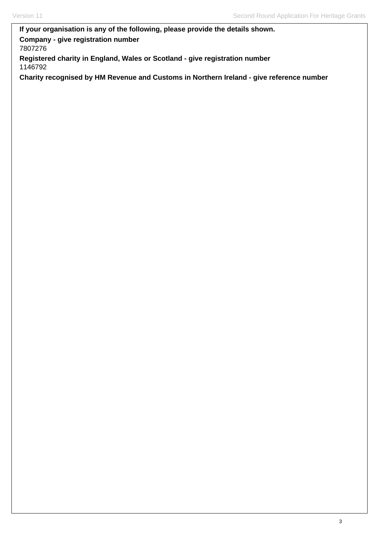# **If your organisation is any of the following, please provide the details shown. Company - give registration number**  7807276

**Registered charity in England, Wales or Scotland - give registration number**  1146792

**Charity recognised by HM Revenue and Customs in Northern Ireland - give reference number**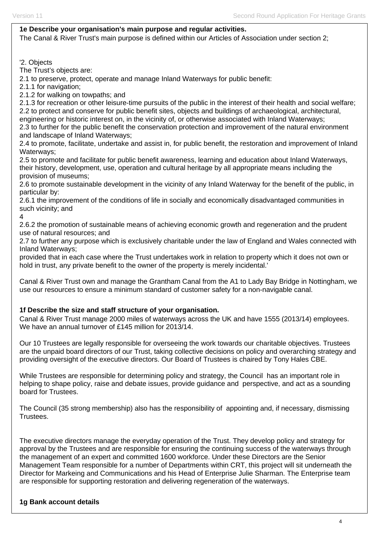#### Version 11 **Second Round Application For Heritage Grants** Second Round Application For Heritage Grants

### **1e Describe your organisation's main purpose and regular activities.**

The Canal & River Trust's main purpose is defined within our Articles of Association under section 2;

#### '2. Objects

The Trust's objects are:

2.1 to preserve, protect, operate and manage Inland Waterways for public benefit:

2.1.1 for navigation;

2.1.2 for walking on towpaths; and

2.1.3 for recreation or other leisure-time pursuits of the public in the interest of their health and social welfare; 2.2 to protect and conserve for public benefit sites, objects and buildings of archaeological, architectural, engineering or historic interest on, in the vicinity of, or otherwise associated with Inland Waterways; 2.3 to further for the public benefit the conservation protection and improvement of the natural environment and landscape of Inland Waterways;

2.4 to promote, facilitate, undertake and assist in, for public benefit, the restoration and improvement of Inland Waterways;

2.5 to promote and facilitate for public benefit awareness, learning and education about Inland Waterways, their history, development, use, operation and cultural heritage by all appropriate means including the provision of museums;

2.6 to promote sustainable development in the vicinity of any Inland Waterway for the benefit of the public, in particular by:

2.6.1 the improvement of the conditions of life in socially and economically disadvantaged communities in such vicinity; and

4

2.6.2 the promotion of sustainable means of achieving economic growth and regeneration and the prudent use of natural resources; and

2.7 to further any purpose which is exclusively charitable under the law of England and Wales connected with Inland Waterways;

provided that in each case where the Trust undertakes work in relation to property which it does not own or hold in trust, any private benefit to the owner of the property is merely incidental.'

Canal & River Trust own and manage the Grantham Canal from the A1 to Lady Bay Bridge in Nottingham, we use our resources to ensure a minimum standard of customer safety for a non-navigable canal.

### **1f Describe the size and staff structure of your organisation.**

Canal & River Trust manage 2000 miles of waterways across the UK and have 1555 (2013/14) employees. We have an annual turnover of £145 million for 2013/14.

Our 10 Trustees are legally responsible for overseeing the work towards our charitable objectives. Trustees are the unpaid board directors of our Trust, taking collective decisions on policy and overarching strategy and providing oversight of the executive directors. Our Board of Trustees is chaired by Tony Hales CBE.

While Trustees are responsible for determining policy and strategy, the Council has an important role in helping to shape policy, raise and debate issues, provide guidance and perspective, and act as a sounding board for Trustees.

The Council (35 strong membership) also has the responsibility of appointing and, if necessary, dismissing Trustees.

The executive directors manage the everyday operation of the Trust. They develop policy and strategy for approval by the Trustees and are responsible for ensuring the continuing success of the waterways through the management of an expert and committed 1600 workforce. Under these Directors are the Senior Management Team responsible for a number of Departments within CRT, this project will sit underneath the Director for Markeing and Communications and his Head of Enterprise Julie Sharman. The Enterprise team are responsible for supporting restoration and delivering regeneration of the waterways.

### **1g Bank account details**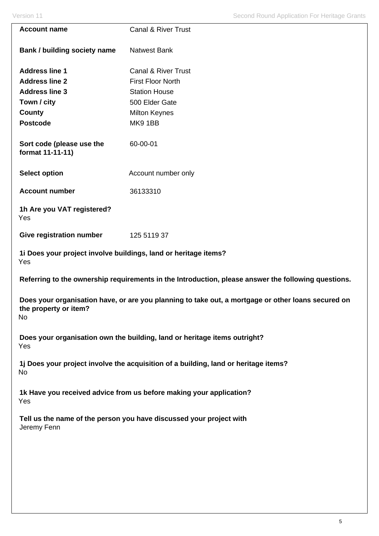| Version 11                                    | <b>Second Round Application For Heritage Grants</b>                                                 |
|-----------------------------------------------|-----------------------------------------------------------------------------------------------------|
| <b>Account name</b>                           | <b>Canal &amp; River Trust</b>                                                                      |
| Bank / building society name                  | <b>Natwest Bank</b>                                                                                 |
| <b>Address line 1</b>                         | <b>Canal &amp; River Trust</b>                                                                      |
| <b>Address line 2</b>                         | <b>First Floor North</b>                                                                            |
| <b>Address line 3</b>                         | <b>Station House</b>                                                                                |
| Town / city                                   | 500 Elder Gate                                                                                      |
| County                                        | <b>Milton Keynes</b>                                                                                |
| <b>Postcode</b>                               | MK91BB                                                                                              |
| Sort code (please use the<br>format 11-11-11) | 60-00-01                                                                                            |
| <b>Select option</b>                          | Account number only                                                                                 |
| <b>Account number</b>                         | 36133310                                                                                            |
| 1h Are you VAT registered?<br>Yes             |                                                                                                     |
| <b>Give registration number</b>               | 125 5119 37                                                                                         |
| Yes                                           | 1i Does your project involve buildings, land or heritage items?                                     |
|                                               | Referring to the ownership requirements in the Introduction, please answer the following questions. |
| the property or item?<br>No                   | Does your organisation have, or are you planning to take out, a mortgage or other loans secured on  |
| Yes                                           | Does your organisation own the building, land or heritage items outright?                           |
| No                                            | 1j Does your project involve the acquisition of a building, land or heritage items?                 |
| Yes                                           | 1k Have you received advice from us before making your application?                                 |
| Jeremy Fenn                                   | Tell us the name of the person you have discussed your project with                                 |
|                                               |                                                                                                     |
|                                               |                                                                                                     |
|                                               |                                                                                                     |
|                                               |                                                                                                     |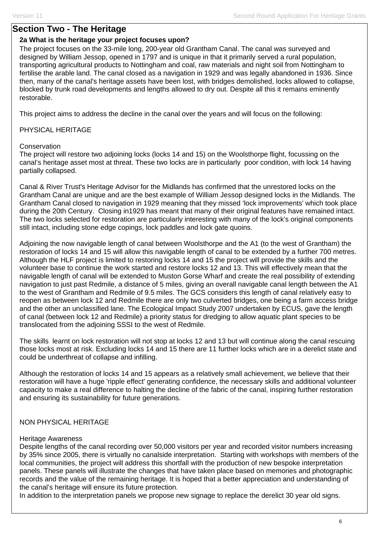# **Section Two - The Heritage**

## **2a What is the heritage your project focuses upon?**

The project focuses on the 33-mile long, 200-year old Grantham Canal. The canal was surveyed and designed by William Jessop, opened in 1797 and is unique in that it primarily served a rural population, transporting agricultural products to Nottingham and coal, raw materials and night soil from Nottingham to fertilise the arable land. The canal closed as a navigation in 1929 and was legally abandoned in 1936. Since then, many of the canal's heritage assets have been lost, with bridges demolished, locks allowed to collapse, blocked by trunk road developments and lengths allowed to dry out. Despite all this it remains eminently restorable.

This project aims to address the decline in the canal over the years and will focus on the following:

PHYSICAL HERITAGE

## **Conservation**

The project will restore two adjoining locks (locks 14 and 15) on the Woolsthorpe flight, focussing on the canal's heritage asset most at threat. These two locks are in particularly poor condition, with lock 14 having partially collapsed.

Canal & River Trust's Heritage Advisor for the Midlands has confirmed that the unrestored locks on the Grantham Canal are unique and are the best example of William Jessop designed locks in the Midlands. The Grantham Canal closed to navigation in 1929 meaning that they missed 'lock improvements' which took place during the 20th Century. Closing in1929 has meant that many of their original features have remained intact. The two locks selected for restoration are particularly interesting with many of the lock's original components still intact, including stone edge copings, lock paddles and lock gate quoins.

Adjoining the now navigable length of canal between Woolsthorpe and the A1 (to the west of Grantham) the restoration of locks 14 and 15 will allow this navigable length of canal to be extended by a further 700 metres. Although the HLF project is limited to restoring locks 14 and 15 the project will provide the skills and the volunteer base to continue the work started and restore locks 12 and 13. This will effectively mean that the navigable length of canal will be extended to Muston Gorse Wharf and create the real possibility of extending navigation to just past Redmile, a distance of 5 miles, giving an overall navigable canal length between the A1 to the west of Grantham and Redmile of 9.5 miles. The GCS considers this length of canal relatively easy to reopen as between lock 12 and Redmile there are only two culverted bridges, one being a farm access bridge and the other an unclassified lane. The Ecological Impact Study 2007 undertaken by ECUS, gave the length of canal (between lock 12 and Redmile) a priority status for dredging to allow aquatic plant species to be translocated from the adjoining SSSI to the west of Redmile.

The skills learnt on lock restoration will not stop at locks 12 and 13 but will continue along the canal rescuing those locks most at risk. Excluding locks 14 and 15 there are 11 further locks which are in a derelict state and could be underthreat of collapse and infilling.

Although the restoration of locks 14 and 15 appears as a relatively small achievement, we believe that their restoration will have a huge 'ripple effect' generating confidence, the necessary skills and additional volunteer capacity to make a real difference to halting the decline of the fabric of the canal, inspiring further restoration and ensuring its sustainability for future generations.

# NON PHYSICAL HERITAGE

### Heritage Awareness

Despite lengths of the canal recording over 50,000 visitors per year and recorded visitor numbers increasing by 35% since 2005, there is virtually no canalside interpretation. Starting with workshops with members of the local communities, the project will address this shortfall with the production of new bespoke interpretation panels. These panels will illustrate the changes that have taken place based on memories and photographic records and the value of the remaining heritage. It is hoped that a better appreciation and understanding of the canal's heritage will ensure its future protection.

In addition to the interpretation panels we propose new signage to replace the derelict 30 year old signs.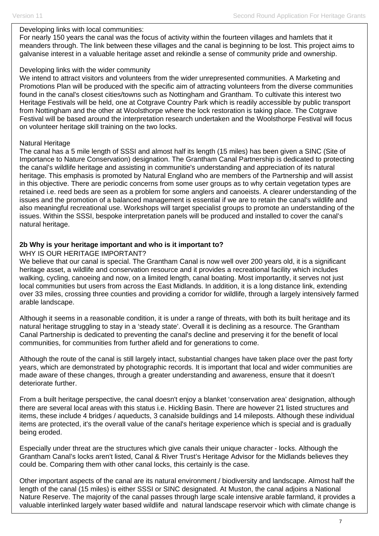### Developing links with local communities:

For nearly 150 years the canal was the focus of activity within the fourteen villages and hamlets that it meanders through. The link between these villages and the canal is beginning to be lost. This project aims to galvanise interest in a valuable heritage asset and rekindle a sense of community pride and ownership.

### Developing links with the wider community

We intend to attract visitors and volunteers from the wider unrepresented communities. A Marketing and Promotions Plan will be produced with the specific aim of attracting volunteers from the diverse communities found in the canal's closest cities/towns such as Nottingham and Grantham. To cultivate this interest two Heritage Festivals will be held, one at Cotgrave Country Park which is readily accessible by public transport from Nottingham and the other at Woolsthorpe where the lock restoration is taking place. The Cotgrave Festival will be based around the interpretation research undertaken and the Woolsthorpe Festival will focus on volunteer heritage skill training on the two locks.

## Natural Heritage

The canal has a 5 mile length of SSSI and almost half its length (15 miles) has been given a SINC (Site of Importance to Nature Conservation) designation. The Grantham Canal Partnership is dedicated to protecting the canal's wildlife heritage and assisting in communitie's understanding and appreciation of its natural heritage. This emphasis is promoted by Natural England who are members of the Partnership and will assist in this objective. There are periodic concerns from some user groups as to why certain vegetation types are retained i.e. reed beds are seen as a problem for some anglers and canoeists. A clearer understanding of the issues and the promotion of a balanced management is essential if we are to retain the canal's wildlife and also meaningful recreational use. Workshops will target specialist groups to promote an understanding of the issues. Within the SSSI, bespoke interpretation panels will be produced and installed to cover the canal's natural heritage.

## **2b Why is your heritage important and who is it important to?**

## WHY IS OUR HERITAGE IMPORTANT?

We believe that our canal is special. The Grantham Canal is now well over 200 years old, it is a significant heritage asset, a wildlife and conservation resource and it provides a recreational facility which includes walking, cycling, canoeing and now, on a limited length, canal boating. Most importantly, it serves not just local communities but users from across the East Midlands. In addition, it is a long distance link, extending over 33 miles, crossing three counties and providing a corridor for wildlife, through a largely intensively farmed arable landscape.

Although it seems in a reasonable condition, it is under a range of threats, with both its built heritage and its natural heritage struggling to stay in a 'steady state'. Overall it is declining as a resource. The Grantham Canal Partnership is dedicated to preventing the canal's decline and preserving it for the benefit of local communities, for communities from further afield and for generations to come.

Although the route of the canal is still largely intact, substantial changes have taken place over the past forty years, which are demonstrated by photographic records. It is important that local and wider communities are made aware of these changes, through a greater understanding and awareness, ensure that it doesn't deteriorate further.

From a built heritage perspective, the canal doesn't enjoy a blanket 'conservation area' designation, although there are several local areas with this status i.e. Hickling Basin. There are however 21 listed structures and items, these include 4 bridges / aqueducts, 3 canalside buildings and 14 mileposts. Although these individual items are protected, it's the overall value of the canal's heritage experience which is special and is gradually being eroded.

Especially under threat are the structures which give canals their unique character - locks. Although the Grantham Canal's locks aren't listed, Canal & River Trust's Heritage Advisor for the Midlands believes they could be. Comparing them with other canal locks, this certainly is the case.

Other important aspects of the canal are its natural environment / biodiversity and landscape. Almost half the length of the canal (15 miles) is either SSSI or SINC designated. At Muston, the canal adjoins a National Nature Reserve. The majority of the canal passes through large scale intensive arable farmland, it provides a valuable interlinked largely water based wildlife and natural landscape reservoir which with climate change is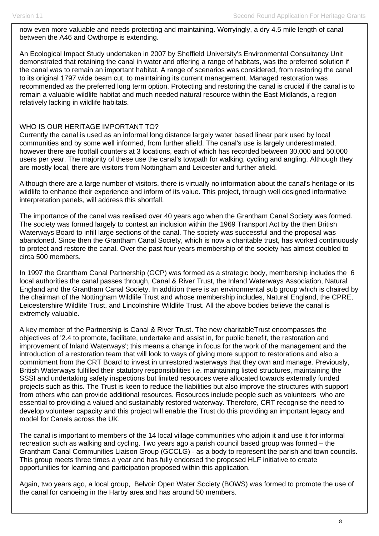now even more valuable and needs protecting and maintaining. Worryingly, a dry 4.5 mile length of canal between the A46 and Owthorpe is extending.

An Ecological Impact Study undertaken in 2007 by Sheffield University's Environmental Consultancy Unit demonstrated that retaining the canal in water and offering a range of habitats, was the preferred solution if the canal was to remain an important habitat. A range of scenarios was considered, from restoring the canal to its original 1797 wide beam cut, to maintaining its current management. Managed restoration was recommended as the preferred long term option. Protecting and restoring the canal is crucial if the canal is to remain a valuable wildlife habitat and much needed natural resource within the East Midlands, a region relatively lacking in wildlife habitats.

## WHO IS OUR HERITAGE IMPORTANT TO?

Currently the canal is used as an informal long distance largely water based linear park used by local communities and by some well informed, from further afield. The canal's use is largely underestimated, however there are footfall counters at 3 locations, each of which has recorded between 30,000 and 50,000 users per year. The majority of these use the canal's towpath for walking, cycling and angling. Although they are mostly local, there are visitors from Nottingham and Leicester and further afield.

Although there are a large number of visitors, there is virtually no information about the canal's heritage or its wildlife to enhance their experience and inform of its value. This project, through well designed informative interpretation panels, will address this shortfall.

The importance of the canal was realised over 40 years ago when the Grantham Canal Society was formed. The society was formed largely to contest an inclusion within the 1969 Transport Act by the then British Waterways Board to infill large sections of the canal. The society was successful and the proposal was abandoned. Since then the Grantham Canal Society, which is now a charitable trust, has worked continuously to protect and restore the canal. Over the past four years membership of the society has almost doubled to circa 500 members.

In 1997 the Grantham Canal Partnership (GCP) was formed as a strategic body, membership includes the 6 local authorities the canal passes through, Canal & River Trust, the Inland Waterways Association, Natural England and the Grantham Canal Society. In addition there is an environmental sub group which is chaired by the chairman of the Nottingham Wildlife Trust and whose membership includes, Natural England, the CPRE, Leicestershire Wildlife Trust, and Lincolnshire Wildlife Trust. All the above bodies believe the canal is extremely valuable.

A key member of the Partnership is Canal & River Trust. The new charitableTrust encompasses the objectives of '2.4 to promote, facilitate, undertake and assist in, for public benefit, the restoration and improvement of Inland Waterways'; this means a change in focus for the work of the management and the introduction of a restoration team that will look to ways of giving more support to restorations and also a commitment from the CRT Board to invest in unrestored waterways that they own and manage. Previously, British Waterways fulfilled their statutory responsibilities i.e. maintaining listed structures, maintaining the SSSI and undertaking safety inspections but limited resources were allocated towards externally funded projects such as this. The Trust is keen to reduce the liabilities but also improve the structures with support from others who can provide additional resources. Resources include people such as volunteers who are essential to providing a valued and sustainably restored waterway. Therefore, CRT recognise the need to develop volunteer capacity and this project will enable the Trust do this providing an important legacy and model for Canals across the UK.

The canal is important to members of the 14 local village communities who adjoin it and use it for informal recreation such as walking and cycling. Two years ago a parish council based group was formed – the Grantham Canal Communities Liaison Group (GCCLG) - as a body to represent the parish and town councils. This group meets three times a year and has fully endorsed the proposed HLF initiative to create opportunities for learning and participation proposed within this application.

Again, two years ago, a local group, Belvoir Open Water Society (BOWS) was formed to promote the use of the canal for canoeing in the Harby area and has around 50 members.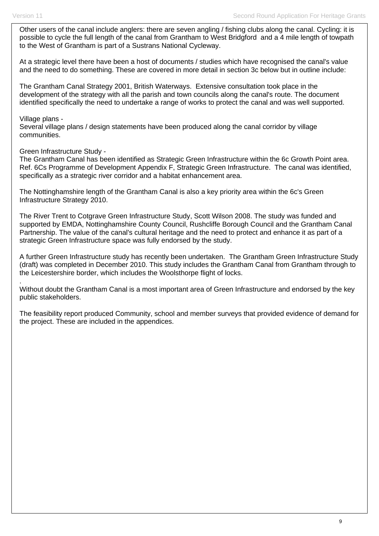Other users of the canal include anglers: there are seven angling / fishing clubs along the canal. Cycling: it is possible to cycle the full length of the canal from Grantham to West Bridgford and a 4 mile length of towpath to the West of Grantham is part of a Sustrans National Cycleway.

At a strategic level there have been a host of documents / studies which have recognised the canal's value and the need to do something. These are covered in more detail in section 3c below but in outline include:

The Grantham Canal Strategy 2001, British Waterways. Extensive consultation took place in the development of the strategy with all the parish and town councils along the canal's route. The document identified specifically the need to undertake a range of works to protect the canal and was well supported.

#### Village plans -

.

Several village plans / design statements have been produced along the canal corridor by village communities.

Green Infrastructure Study -

The Grantham Canal has been identified as Strategic Green Infrastructure within the 6c Growth Point area. Ref. 6Cs Programme of Development Appendix F, Strategic Green Infrastructure. The canal was identified, specifically as a strategic river corridor and a habitat enhancement area.

The Nottinghamshire length of the Grantham Canal is also a key priority area within the 6c's Green Infrastructure Strategy 2010.

The River Trent to Cotgrave Green Infrastructure Study, Scott Wilson 2008. The study was funded and supported by EMDA, Nottinghamshire County Council, Rushcliffe Borough Council and the Grantham Canal Partnership. The value of the canal's cultural heritage and the need to protect and enhance it as part of a strategic Green Infrastructure space was fully endorsed by the study.

A further Green Infrastructure study has recently been undertaken. The Grantham Green Infrastructure Study (draft) was completed in December 2010. This study includes the Grantham Canal from Grantham through to the Leicestershire border, which includes the Woolsthorpe flight of locks.

Without doubt the Grantham Canal is a most important area of Green Infrastructure and endorsed by the key public stakeholders.

The feasibility report produced Community, school and member surveys that provided evidence of demand for the project. These are included in the appendices.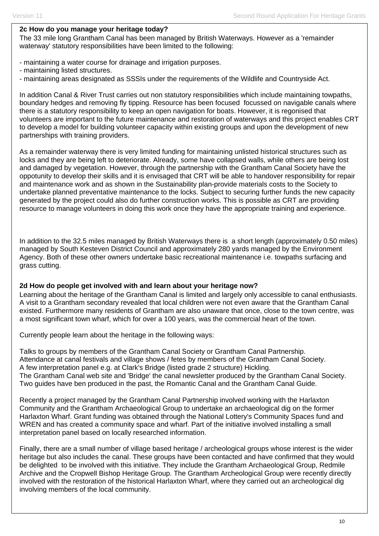## **2c How do you manage your heritage today?**

The 33 mile long Grantham Canal has been managed by British Waterways. However as a 'remainder waterway' statutory responsibilities have been limited to the following:

- maintaining a water course for drainage and irrigation purposes.
- maintaining listed structures.
- maintaining areas designated as SSSIs under the requirements of the Wildlife and Countryside Act.

In addition Canal & River Trust carries out non statutory responsibilities which include maintaining towpaths, boundary hedges and removing fly tipping. Resource has been focused focussed on navigable canals where there is a statutory responsibility to keep an open navigation for boats. However, it is regonised that volunteers are important to the future maintenance and restoration of waterways and this project enables CRT to develop a model for building volunteer capacity within existing groups and upon the development of new partnerships with training providers.

As a remainder waterway there is very limited funding for maintaining unlisted historical structures such as locks and they are being left to deteriorate. Already, some have collapsed walls, while others are being lost and damaged by vegetation. However, through the partnership with the Grantham Canal Society have the oppotunity to develop their skills and it is envisaged that CRT will be able to handover responsibility for repair and maintenance work and as shown in the Sustainability plan-provide materials costs to the Society to undertake planned preventative maintenance to the locks. Subject to securing further funds the new capacity generated by the project could also do further construction works. This is possible as CRT are providing resource to manage volunteers in doing this work once they have the appropriate training and experience.

In addition to the 32.5 miles managed by British Waterways there is a short length (approximately 0.50 miles) managed by South Kesteven District Council and approximately 280 yards managed by the Environment Agency. Both of these other owners undertake basic recreational maintenance i.e. towpaths surfacing and grass cutting.

### **2d How do people get involved with and learn about your heritage now?**

Learning about the heritage of the Grantham Canal is limited and largely only accessible to canal enthusiasts. A visit to a Grantham secondary revealed that local children were not even aware that the Grantham Canal existed. Furthermore many residents of Grantham are also unaware that once, close to the town centre, was a most significant town wharf, which for over a 100 years, was the commercial heart of the town.

Currently people learn about the heritage in the following ways:

Talks to groups by members of the Grantham Canal Society or Grantham Canal Partnership. Attendance at canal festivals and village shows / fetes by members of the Grantham Canal Society. A few interpretation panel e.g. at Clark's Bridge (listed grade 2 structure) Hickling. The Grantham Canal web site and 'Bridge' the canal newsletter produced by the Grantham Canal Society. Two guides have ben produced in the past, the Romantic Canal and the Grantham Canal Guide.

Recently a project managed by the Grantham Canal Partnership involved working with the Harlaxton Community and the Grantham Archaeological Group to undertake an archaeological dig on the former Harlaxton Wharf. Grant funding was obtained through the National Lottery's Community Spaces fund and WREN and has created a community space and wharf. Part of the initiative involved installing a small interpretation panel based on locally researched information.

Finally, there are a small number of village based heritage / archeological groups whose interest is the wider heritage but also includes the canal. These groups have been contacted and have confirmed that they would be delighted to be involved with this initiative. They include the Grantham Archaeological Group, Redmile Archive and the Cropwell Bishop Heritage Group. The Grantham Archeological Group were recently directly involved with the restoration of the historical Harlaxton Wharf, where they carried out an archeological dig involving members of the local community.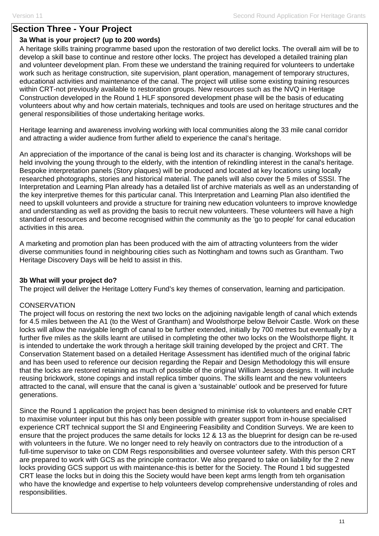# **Section Three - Your Project**

# **3a What is your project? (up to 200 words)**

A heritage skills training programme based upon the restoration of two derelict locks. The overall aim will be to develop a skill base to continue and restore other locks. The project has developed a detailed training plan and volunteer development plan. From these we understand the training required for volunteers to undertake work such as heritage construction, site supervision, plant operation, management of temporary structures, educational activities and maintenance of the canal. The project will utilise some existing training resources within CRT-not previously available to restoration groups. New resources such as the NVQ in Heritage Construction developed in the Round 1 HLF sponsored development phase will be the basis of educating volunteers about why and how certain materials, techniques and tools are used on heritage structures and the general responsibilities of those undertaking heritage works.

Heritage learning and awareness involving working with local communities along the 33 mile canal corridor and attracting a wider audience from further afield to experience the canal's heritage.

An appreciation of the importance of the canal is being lost and its character is changing. Workshops will be held involving the young through to the elderly, with the intention of rekindling interest in the canal's heritage. Bespoke interpretation panels (Story plaques) will be produced and located at key locations using locally researched photographs, stories and historical material. The panels will also cover the 5 miles of SSSI. The Interpretation and Learning Plan already has a detailed list of archive materials as well as an understanding of the key interpretive themes for this particular canal. This Interpretation and Learning Plan also identified the need to upskill volunteers and provide a structure for training new education volunteers to improve knowledge and understanding as well as providng the basis to recruit new volunteers. These volunteers will have a high standard of resources and become recognised within the community as the 'go to people' for canal education activities in this area.

A marketing and promotion plan has been produced with the aim of attracting volunteers from the wider diverse communities found in neighbouring cities such as Nottingham and towns such as Grantham. Two Heritage Discovery Days will be held to assist in this.

# **3b What will your project do?**

The project will deliver the Heritage Lottery Fund's key themes of conservation, learning and participation.

# **CONSERVATION**

The project will focus on restoring the next two locks on the adjoining navigable length of canal which extends for 4.5 miles between the A1 (to the West of Grantham) and Woolsthorpe below Belvoir Castle. Work on these locks will allow the navigable length of canal to be further extended, initially by 700 metres but eventually by a further five miles as the skills learnt are utilised in completing the other two locks on the Woolsthorpe flight. It is intended to undertake the work through a heritage skill training developed by the project and CRT. The Conservation Statement based on a detailed Heritage Assessment has identified much of the original fabric and has been used to reference our decision regarding the Repair and Design Methodology this will ensure that the locks are restored retaining as much of possible of the original William Jessop designs. It will include reusing brickwork, stone copings and install replica timber quoins. The skills learnt and the new volunteers attracted to the canal, will ensure that the canal is given a 'sustainable' outlook and be preserved for future generations.

Since the Round 1 application the project has been designed to minimise risk to volunteers and enable CRT to maximise volunteer input but this has only been possible with greater support from in-house specialised experience CRT technical support the SI and Engineering Feasibility and Condition Surveys. We are keen to ensure that the project produces the same details for locks 12 & 13 as the blueprint for design can be re-used with volunteers in the future. We no longer need to rely heavily on contractors due to the introduction of a full-time supervisor to take on CDM Regs responsibilities and oversee volunteer safety. With this person CRT are prepared to work with GCS as the principle contractor. We also prepared to take on liability for the 2 new locks providing GCS support us with maintenance-this is better for the Society. The Round 1 bid suggested CRT lease the locks but in doing this the Society would have been kept arms length from teh organisation who have the knowledge and expertise to help volunteers develop comprehensive understanding of roles and responsibilities.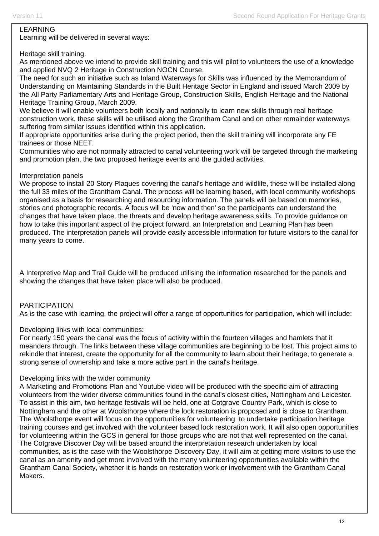### LEARNING

Learning will be delivered in several ways:

## Heritage skill training.

As mentioned above we intend to provide skill training and this will pilot to volunteers the use of a knowledge and applied NVQ 2 Heritage in Construction NOCN Course.

The need for such an initiative such as Inland Waterways for Skills was influenced by the Memorandum of Understanding on Maintaining Standards in the Built Heritage Sector in England and issued March 2009 by the All Party Parliamentary Arts and Heritage Group, Construction Skills, English Heritage and the National Heritage Training Group, March 2009.

We believe it will enable volunteers both locally and nationally to learn new skills through real heritage construction work, these skills will be utilised along the Grantham Canal and on other remainder waterways suffering from similar issues identified within this application.

If appropriate opportunities arise during the project period, then the skill training will incorporate any FE trainees or those NEET.

Communities who are not normally attracted to canal volunteering work will be targeted through the marketing and promotion plan, the two proposed heritage events and the guided activities.

### Interpretation panels

We propose to install 20 Story Plaques covering the canal's heritage and wildlife, these will be installed along the full 33 miles of the Grantham Canal. The process will be learning based, with local community workshops organised as a basis for researching and resourcing information. The panels will be based on memories, stories and photographic records. A focus will be 'now and then' so the participants can understand the changes that have taken place, the threats and develop heritage awareness skills. To provide guidance on how to take this important aspect of the project forward, an Interpretation and Learning Plan has been produced. The interpretation panels will provide easily accessible information for future visitors to the canal for many years to come.

A Interpretive Map and Trail Guide will be produced utilising the information researched for the panels and showing the changes that have taken place will also be produced.

### PARTICIPATION

As is the case with learning, the project will offer a range of opportunities for participation, which will include:

Developing links with local communities:

For nearly 150 years the canal was the focus of activity within the fourteen villages and hamlets that it meanders through. The links between these village communities are beginning to be lost. This project aims to rekindle that interest, create the opportunity for all the community to learn about their heritage, to generate a strong sense of ownership and take a more active part in the canal's heritage.

### Developing links with the wider community

A Marketing and Promotions Plan and Youtube video will be produced with the specific aim of attracting volunteers from the wider diverse communities found in the canal's closest cities, Nottingham and Leicester. To assist in this aim, two heritage festivals will be held, one at Cotgrave Country Park, which is close to Nottingham and the other at Woolsthorpe where the lock restoration is proposed and is close to Grantham. The Woolsthorpe event will focus on the opportunities for volunteering to undertake participation heritage training courses and get involved with the volunteer based lock restoration work. It will also open opportunities for volunteering within the GCS in general for those groups who are not that well represented on the canal. The Cotgrave Discover Day will be based around the interpretation research undertaken by local communities, as is the case with the Woolsthorpe Discovery Day, it will aim at getting more visitors to use the canal as an amenity and get more involved with the many volunteering opportunities available within the Grantham Canal Society, whether it is hands on restoration work or involvement with the Grantham Canal Makers.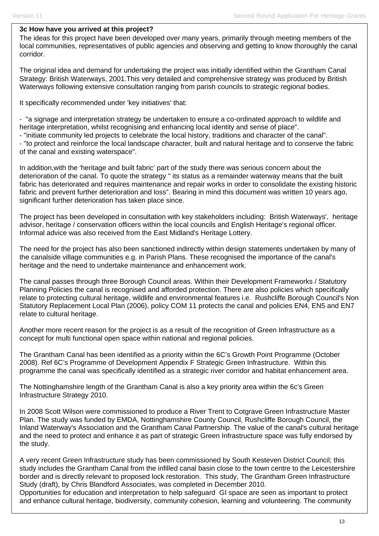### **3c How have you arrived at this project?**

The ideas for this project have been developed over many years, primarily through meeting members of the local communities, representatives of public agencies and observing and getting to know thoroughly the canal corridor.

The original idea and demand for undertaking the project was initially identified within the Grantham Canal Strategy: British Waterways, 2001.This very detailed and comprehensive strategy was produced by British Waterways following extensive consultation ranging from parish councils to strategic regional bodies.

It specifically recommended under 'key initiatives' that:

- "a signage and interpretation strategy be undertaken to ensure a co-ordinated approach to wildlife and heritage interpretation, whilst recognising and enhancing local identity and sense of place".

- "initiate community led projects to celebrate the local history, traditions and character of the canal".

- "to protect and reinforce the local landscape character, built and natural heritage and to conserve the fabric of the canal and existing waterspace".

In addition,with the 'heritage and built fabric' part of the study there was serious concern about the deterioration of the canal. To quote the strategy " its status as a remainder waterway means that the built fabric has deteriorated and requires maintenance and repair works in order to consolidate the existing historic fabric and prevent further deterioration and loss". Bearing in mind this document was written 10 years ago, significant further deterioration has taken place since.

The project has been developed in consultation with key stakeholders including: British Waterways', heritage advisor, heritage / conservation officers within the local councils and English Heritage's regional officer. Informal advice was also received from the East Midland's Heritage Lottery.

The need for the project has also been sanctioned indirectly within design statements undertaken by many of the canalside village communities e.g. in Parish Plans. These recognised the importance of the canal's heritage and the need to undertake maintenance and enhancement work.

The canal passes through three Borough Council areas. Within their Development Frameworks / Statutory Planning Policies the canal is recognised and afforded protection. There are also policies which specifically relate to protecting cultural heritage, wildlife and environmental features i.e. Rushcliffe Borough Council's Non Statutory Replacement Local Plan (2006), policy COM 11 protects the canal and policies EN4, EN5 and EN7 relate to cultural heritage.

Another more recent reason for the project is as a result of the recognition of Green Infrastructure as a concept for multi functional open space within national and regional policies.

The Grantham Canal has been identified as a priority within the 6C's Growth Point Programme (October 2008). Ref 6C's Programme of Development Appendix F Strategic Green Infrastructure. Within this programme the canal was specifically identified as a strategic river corridor and habitat enhancement area.

The Nottinghamshire length of the Grantham Canal is also a key priority area within the 6c's Green Infrastructure Strategy 2010.

In 2008 Scott Wilson were commissioned to produce a River Trent to Cotgrave Green Infrastructure Master Plan. The study was funded by EMDA, Nottinghamshire County Council, Rushcliffe Borough Council, the Inland Waterway's Association and the Grantham Canal Partnership. The value of the canal's cultural heritage and the need to protect and enhance it as part of strategic Green Infrastructure space was fully endorsed by the study.

A very recent Green Infrastructure study has been commissioned by South Kesteven District Council; this study includes the Grantham Canal from the infilled canal basin close to the town centre to the Leicestershire border and is directly relevant to proposed lock restoration. This study, The Grantham Green Infrastructure Study (draft), by Chris Blandford Associates, was completed in December 2010.

Opportunities for education and interpretation to help safeguard GI space are seen as important to protect and enhance cultural heritage, biodiversity, community cohesion, learning and volunteering. The community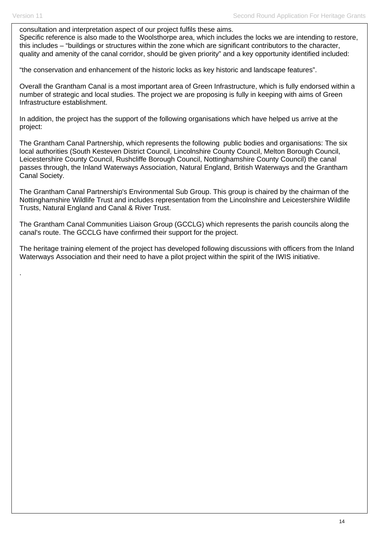.

consultation and interpretation aspect of our project fulfils these aims.

Specific reference is also made to the Woolsthorpe area, which includes the locks we are intending to restore, this includes – "buildings or structures within the zone which are significant contributors to the character, quality and amenity of the canal corridor, should be given priority" and a key opportunity identified included:

"the conservation and enhancement of the historic locks as key historic and landscape features".

Overall the Grantham Canal is a most important area of Green Infrastructure, which is fully endorsed within a number of strategic and local studies. The project we are proposing is fully in keeping with aims of Green Infrastructure establishment.

In addition, the project has the support of the following organisations which have helped us arrive at the project:

The Grantham Canal Partnership, which represents the following public bodies and organisations: The six local authorities (South Kesteven District Council, Lincolnshire County Council, Melton Borough Council, Leicestershire County Council, Rushcliffe Borough Council, Nottinghamshire County Council) the canal passes through, the Inland Waterways Association, Natural England, British Waterways and the Grantham Canal Society.

The Grantham Canal Partnership's Environmental Sub Group. This group is chaired by the chairman of the Nottinghamshire Wildlife Trust and includes representation from the Lincolnshire and Leicestershire Wildlife Trusts, Natural England and Canal & River Trust.

The Grantham Canal Communities Liaison Group (GCCLG) which represents the parish councils along the canal's route. The GCCLG have confirmed their support for the project.

The heritage training element of the project has developed following discussions with officers from the Inland Waterways Association and their need to have a pilot project within the spirit of the IWIS initiative.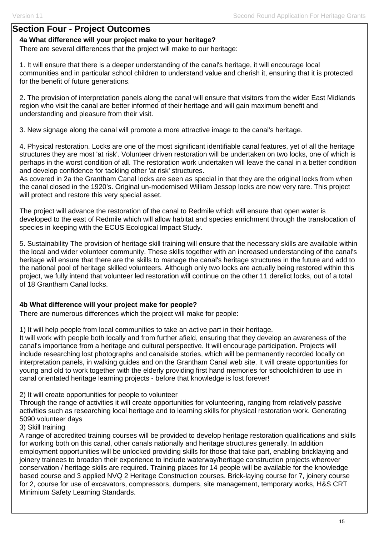# **Section Four - Project Outcomes**

## **4a What difference will your project make to your heritage?**

There are several differences that the project will make to our heritage:

1. It will ensure that there is a deeper understanding of the canal's heritage, it will encourage local communities and in particular school children to understand value and cherish it, ensuring that it is protected for the benefit of future generations.

2. The provision of interpretation panels along the canal will ensure that visitors from the wider East Midlands region who visit the canal are better informed of their heritage and will gain maximum benefit and understanding and pleasure from their visit.

3. New signage along the canal will promote a more attractive image to the canal's heritage.

4. Physical restoration. Locks are one of the most significant identifiable canal features, yet of all the heritage structures they are most 'at risk'. Volunteer driven restoration will be undertaken on two locks, one of which is perhaps in the worst condition of all. The restoration work undertaken will leave the canal in a better condition and develop confidence for tackling other 'at risk' structures.

As covered in 2a the Grantham Canal locks are seen as special in that they are the original locks from when the canal closed in the 1920's. Original un-modernised William Jessop locks are now very rare. This project will protect and restore this very special asset.

The project will advance the restoration of the canal to Redmile which will ensure that open water is developed to the east of Redmile which will allow habitat and species enrichment through the translocation of species in keeping with the ECUS Ecological Impact Study.

5. Sustainability The provision of heritage skill training will ensure that the necessary skills are available within the local and wider volunteer community. These skills together with an increased understanding of the canal's heritage will ensure that there are the skills to manage the canal's heritage structures in the future and add to the national pool of heritage skilled volunteers. Although only two locks are actually being restored within this project, we fully intend that volunteer led restoration will continue on the other 11 derelict locks, out of a total of 18 Grantham Canal locks.

# **4b What difference will your project make for people?**

There are numerous differences which the project will make for people:

1) It will help people from local communities to take an active part in their heritage.

It will work with people both locally and from further afield, ensuring that they develop an awareness of the canal's importance from a heritage and cultural perspective. It will encourage participation. Projects will include researching lost photographs and canalside stories, which will be permanently recorded locally on interpretation panels, in walking guides and on the Grantham Canal web site. It will create opportunities for young and old to work together with the elderly providing first hand memories for schoolchildren to use in canal orientated heritage learning projects - before that knowledge is lost forever!

2) It will create opportunities for people to volunteer

Through the range of activities it will create opportunities for volunteering, ranging from relatively passive activities such as researching local heritage and to learning skills for physical restoration work. Generating 5090 volunteer days

### 3) Skill training

A range of accredited training courses will be provided to develop heritage restoration qualifications and skills for working both on this canal, other canals nationally and heritage structures generally. In addition employment opportunities will be unlocked providing skills for those that take part, enabling bricklaying and joinery trainees to broaden their experience to include waterway/heritage construction projects wherever conservation / heritage skills are required. Training places for 14 people will be available for the knowledge based course and 3 applied NVQ 2 Heritage Construction courses. Brick-laying course for 7, joinery course for 2, course for use of excavators, compressors, dumpers, site management, temporary works, H&S CRT Minimium Safety Learning Standards.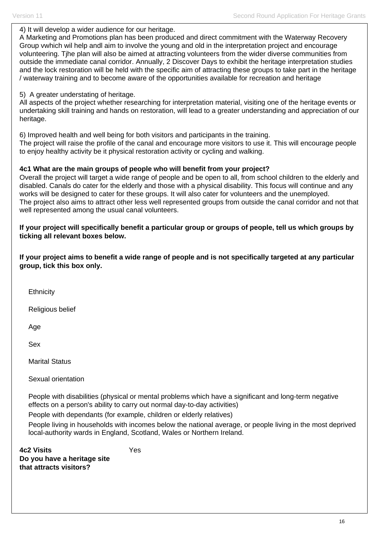#### 4) It will develop a wider audience for our heritage.

A Marketing and Promotions plan has been produced and direct commitment with the Waterway Recovery Group vwhich wil help andl aim to involve the young and old in the interpretation project and encourage volunteering. Tjhe plan will also be aimed at attracting volunteers from the wider diverse communities from outside the immediate canal corridor. Annually, 2 Discover Days to exhibit the heritage interpretation studies and the lock restoration will be held with the specific aim of attracting these groups to take part in the heritage / waterway training and to become aware of the opportunities available for recreation and heritage

## 5) A greater understating of heritage.

All aspects of the project whether researching for interpretation material, visiting one of the heritage events or undertaking skill training and hands on restoration, will lead to a greater understanding and appreciation of our heritage.

6) Improved health and well being for both visitors and participants in the training.

The project will raise the profile of the canal and encourage more visitors to use it. This will encourage people to enjoy healthy activity be it physical restoration activity or cycling and walking.

## **4c1 What are the main groups of people who will benefit from your project?**

Overall the project will target a wide range of people and be open to all, from school children to the elderly and disabled. Canals do cater for the elderly and those with a physical disability. This focus will continue and any works will be designed to cater for these groups. It will also cater for volunteers and the unemployed. The project also aims to attract other less well represented groups from outside the canal corridor and not that well represented among the usual canal volunteers.

**If your project will specifically benefit a particular group or groups of people, tell us which groups by ticking all relevant boxes below.** 

**If your project aims to benefit a wide range of people and is not specifically targeted at any particular group, tick this box only.** 

**Ethnicity** 

Religious belief

Age

Sex

Marital Status

Sexual orientation

People with disabilities (physical or mental problems which have a significant and long-term negative effects on a person's ability to carry out normal day-to-day activities)

People with dependants (for example, children or elderly relatives)

Yes

People living in households with incomes below the national average, or people living in the most deprived local-authority wards in England, Scotland, Wales or Northern Ireland.

**4c2 Visits Do you have a heritage site that attracts visitors?**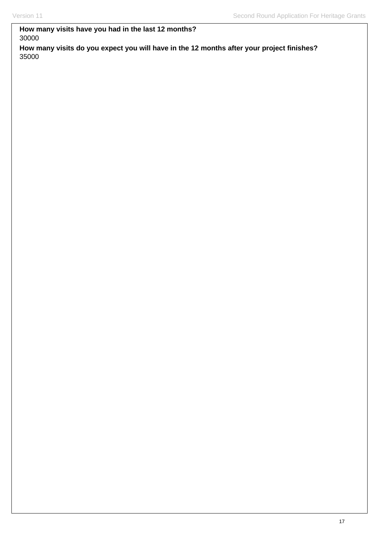# **How many visits have you had in the last 12 months?**  30000

**How many visits do you expect you will have in the 12 months after your project finishes?**  35000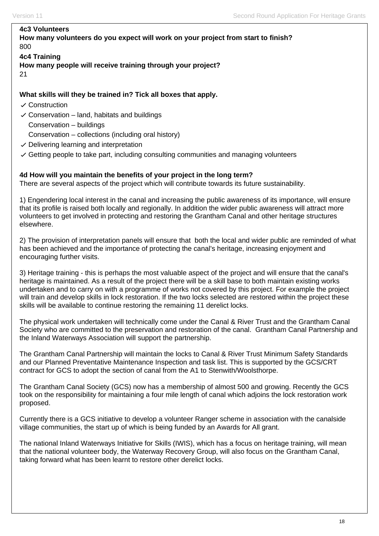# **4c3 Volunteers**

### **How many volunteers do you expect will work on your project from start to finish?**  800

### **4c4 Training**

**How many people will receive training through your project?**  21

## **What skills will they be trained in? Tick all boxes that apply.**

- $\checkmark$  Construction
- $\checkmark$  Conservation land, habitats and buildings
	- Conservation buildings

Conservation – collections (including oral history)

- $\vee$  Delivering learning and interpretation
- $\vee$  Getting people to take part, including consulting communities and managing volunteers

## **4d How will you maintain the benefits of your project in the long term?**

There are several aspects of the project which will contribute towards its future sustainability.

1) Engendering local interest in the canal and increasing the public awareness of its importance, will ensure that its profile is raised both locally and regionally. In addition the wider public awareness will attract more volunteers to get involved in protecting and restoring the Grantham Canal and other heritage structures elsewhere.

2) The provision of interpretation panels will ensure that both the local and wider public are reminded of what has been achieved and the importance of protecting the canal's heritage, increasing enjoyment and encouraging further visits.

3) Heritage training - this is perhaps the most valuable aspect of the project and will ensure that the canal's heritage is maintained. As a result of the project there will be a skill base to both maintain existing works undertaken and to carry on with a programme of works not covered by this project. For example the project will train and develop skills in lock restoration. If the two locks selected are restored within the project these skills will be available to continue restoring the remaining 11 derelict locks.

The physical work undertaken will technically come under the Canal & River Trust and the Grantham Canal Society who are committed to the preservation and restoration of the canal. Grantham Canal Partnership and the Inland Waterways Association will support the partnership.

The Grantham Canal Partnership will maintain the locks to Canal & River Trust Minimum Safety Standards and our Planned Preventative Maintenance Inspection and task list. This is supported by the GCS/CRT contract for GCS to adopt the section of canal from the A1 to Stenwith/Woolsthorpe.

The Grantham Canal Society (GCS) now has a membership of almost 500 and growing. Recently the GCS took on the responsibility for maintaining a four mile length of canal which adjoins the lock restoration work proposed.

Currently there is a GCS initiative to develop a volunteer Ranger scheme in association with the canalside village communities, the start up of which is being funded by an Awards for All grant.

The national Inland Waterways Initiative for Skills (IWIS), which has a focus on heritage training, will mean that the national volunteer body, the Waterway Recovery Group, will also focus on the Grantham Canal, taking forward what has been learnt to restore other derelict locks.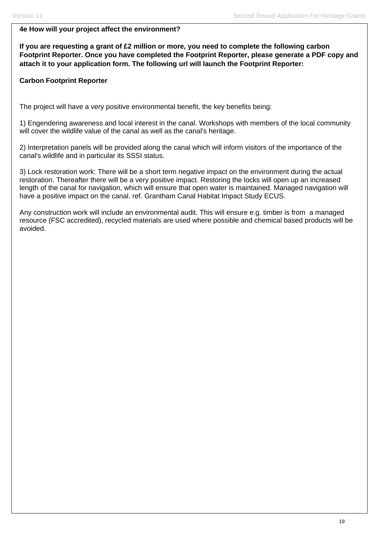# **4e How will your project affect the environment?**

**If you are requesting a grant of £2 million or more, you need to complete the following carbon Footprint Reporter. Once you have completed the Footprint Reporter, please generate a PDF copy and attach it to your application form. The following url will launch the Footprint Reporter:** 

# **Carbon Footprint Reporter**

The project will have a very positive environmental benefit, the key benefits being:

1) Engendering awareness and local interest in the canal. Workshops with members of the local community will cover the wildlife value of the canal as well as the canal's heritage.

2) Interpretation panels will be provided along the canal which will inform visitors of the importance of the canal's wildlife and in particular its SSSI status.

3) Lock restoration work: There will be a short term negative impact on the environment during the actual restoration. Thereafter there will be a very positive impact. Restoring the locks will open up an increased length of the canal for navigation, which will ensure that open water is maintained. Managed navigation will have a positive impact on the canal. ref. Grantham Canal Habitat Impact Study ECUS.

Any construction work will include an environmental audit. This will ensure e.g. timber is from a managed resource (FSC accredited), recycled materials are used where possible and chemical based products will be avoided.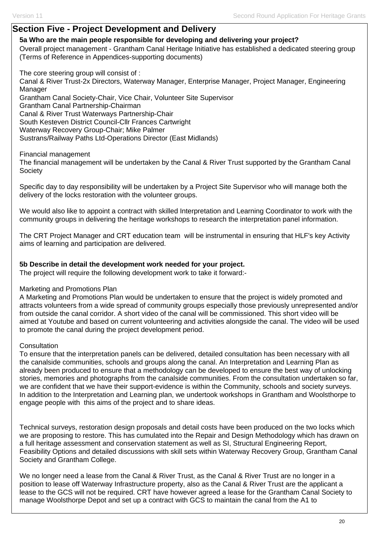# **Section Five - Project Development and Delivery**

### **5a Who are the main people responsible for developing and delivering your project?**

Overall project management - Grantham Canal Heritage Initiative has established a dedicated steering group (Terms of Reference in Appendices-supporting documents)

The core steering group will consist of : Canal & River Trust-2x Directors, Waterway Manager, Enterprise Manager, Project Manager, Engineering Manager Grantham Canal Society-Chair, Vice Chair, Volunteer Site Supervisor Grantham Canal Partnership-Chairman Canal & River Trust Waterways Partnership-Chair South Kesteven District Council-Cllr Frances Cartwright Waterway Recovery Group-Chair; Mike Palmer Sustrans/Railway Paths Ltd-Operations Director (East Midlands)

### Financial management

The financial management will be undertaken by the Canal & River Trust supported by the Grantham Canal **Society** 

Specific day to day responsibility will be undertaken by a Project Site Supervisor who will manage both the delivery of the locks restoration with the volunteer groups.

We would also like to appoint a contract with skilled Interpretation and Learning Coordinator to work with the community groups in delivering the heritage workshops to research the interpretation panel information.

The CRT Project Manager and CRT education team will be instrumental in ensuring that HLF's key Activity aims of learning and participation are delivered.

## **5b Describe in detail the development work needed for your project.**

The project will require the following development work to take it forward:-

### Marketing and Promotions Plan

A Marketing and Promotions Plan would be undertaken to ensure that the project is widely promoted and attracts volunteers from a wide spread of community groups especially those previously unrepresented and/or from outside the canal corridor. A short video of the canal will be commissioned. This short video will be aimed at Youtube and based on current volunteering and activities alongside the canal. The video will be used to promote the canal during the project development period.

### **Consultation**

To ensure that the interpretation panels can be delivered, detailed consultation has been necessary with all the canalside communities, schools and groups along the canal. An Interpretation and Learning Plan as already been produced to ensure that a methodology can be developed to ensure the best way of unlocking stories, memories and photographs from the canalside communities. From the consultation undertaken so far, we are confident that we have their support-evidence is within the Community, schools and society surveys. In addition to the Interpretation and Learning plan, we undertook workshops in Grantham and Woolsthorpe to engage people with this aims of the project and to share ideas.

Technical surveys, restoration design proposals and detail costs have been produced on the two locks which we are proposing to restore. This has cumulated into the Repair and Design Methodology which has drawn on a full heritage assessment and conservation statement as well as SI, Structural Engineering Report, Feasibility Options and detailed discussions with skill sets within Waterway Recovery Group, Grantham Canal Society and Grantham College.

We no longer need a lease from the Canal & River Trust, as the Canal & River Trust are no longer in a position to lease off Waterway Infrastructure property, also as the Canal & River Trust are the applicant a lease to the GCS will not be required. CRT have however agreed a lease for the Grantham Canal Society to manage Woolsthorpe Depot and set up a contract with GCS to maintain the canal from the A1 to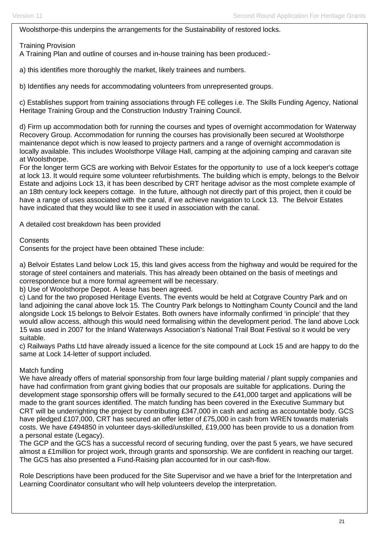Woolsthorpe-this underpins the arrangements for the Sustainability of restored locks.

Training Provision

A Training Plan and outline of courses and in-house training has been produced:-

a) this identifies more thoroughly the market, likely trainees and numbers.

b) Identifies any needs for accommodating volunteers from unrepresented groups.

c) Establishes support from training associations through FE colleges i.e. The Skills Funding Agency, National Heritage Training Group and the Construction Industry Training Council.

d) Firm up accommodation both for running the courses and types of overnight accommodation for Waterway Recovery Group. Accommodation for running the courses has provisionally been secured at Woolsthorpe maintenance depot which is now leased to projecty partners and a range of overnight accommodation is locally available. This includes Woolsthorpe Village Hall, camping at the adjoining camping and caravan site at Woolsthorpe.

For the longer term GCS are working with Belvoir Estates for the opportunity to use of a lock keeper's cottage at lock 13. It would require some volunteer refurbishments. The building which is empty, belongs to the Belvoir Estate and adjoins Lock 13, it has been described by CRT heritage advisor as the most complete example of an 18th century lock keepers cottage. In the future, although not directly part of this project, then it could be have a range of uses associated with the canal, if we achieve navigation to Lock 13. The Belvoir Estates have indicated that they would like to see it used in association with the canal.

A detailed cost breakdown has been provided

**Consents** 

Consents for the project have been obtained These include:

a) Belvoir Estates Land below Lock 15, this land gives access from the highway and would be required for the storage of steel containers and materials. This has already been obtained on the basis of meetings and correspondence but a more formal agreement will be necessary.

b) Use of Woolsthorpe Depot. A lease has been agreed.

c) Land for the two proposed Heritage Events. The events would be held at Cotgrave Country Park and on land adjoining the canal above lock 15. The Country Park belongs to Nottingham County Council and the land alongside Lock 15 belongs to Belvoir Estates. Both owners have informally confirmed 'in principle' that they would allow access, although this would need formalising within the development period. The land above Lock 15 was used in 2007 for the Inland Waterways Association's National Trail Boat Festival so it would be very suitable.

c) Railways Paths Ltd have already issued a licence for the site compound at Lock 15 and are happy to do the same at Lock 14-letter of support included.

# Match funding

We have already offers of material sponsorship from four large building material / plant supply companies and have had confirmation from grant giving bodies that our proposals are suitable for applications. During the development stage sponsorship offers will be formally secured to the £41,000 target and applications will be made to the grant sources identified. The match funding has been covered in the Executive Summary but CRT will be underrighting the project by contributing £347,000 in cash and acting as accountable body. GCS have pledged £107,000, CRT has secured an offer letter of £75,000 in cash from WREN towards materials costs. We have £494850 in volunteer days-skilled/unskilled, £19,000 has been provide to us a donation from a personal estate (Legacy).

The GCP and the GCS has a successful record of securing funding, over the past 5 years, we have secured almost a £1million for project work, through grants and sponsorship. We are confident in reaching our target. The GCS has also presented a Fund-Raising plan accounted for in our cash-flow.

Role Descriptions have been produced for the Site Supervisor and we have a brief for the Interpretation and Learning Coordinator consultant who will help volunteers develop the interpretation.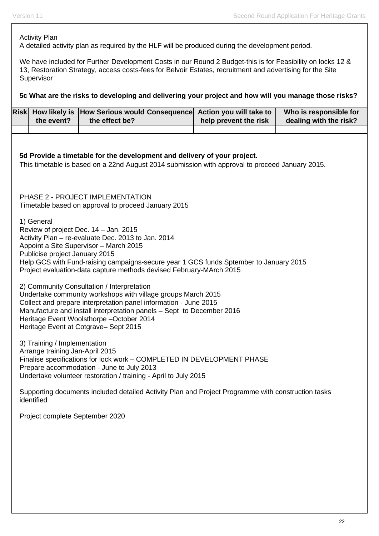Activity Plan

A detailed activity plan as required by the HLF will be produced during the development period.

We have included for Further Development Costs in our Round 2 Budget-this is for Feasibility on locks 12 & 13, Restoration Strategy, access costs-fees for Belvoir Estates, recruitment and advertising for the Site Supervisor

**5c What are the risks to developing and delivering your project and how will you manage those risks?** 

| <b>Risk</b>                                                                                                                                                                 | How likely is                                                                                                                                                                                                                                                                                                                                         | How Serious would Consequence                                                                                |  | Action you will take to                                                                            | Who is responsible for |  |  |  |
|-----------------------------------------------------------------------------------------------------------------------------------------------------------------------------|-------------------------------------------------------------------------------------------------------------------------------------------------------------------------------------------------------------------------------------------------------------------------------------------------------------------------------------------------------|--------------------------------------------------------------------------------------------------------------|--|----------------------------------------------------------------------------------------------------|------------------------|--|--|--|
|                                                                                                                                                                             | the event?                                                                                                                                                                                                                                                                                                                                            | the effect be?                                                                                               |  | help prevent the risk                                                                              | dealing with the risk? |  |  |  |
| 5d Provide a timetable for the development and delivery of your project.<br>This timetable is based on a 22nd August 2014 submission with approval to proceed January 2015. |                                                                                                                                                                                                                                                                                                                                                       |                                                                                                              |  |                                                                                                    |                        |  |  |  |
|                                                                                                                                                                             | PHASE 2 - PROJECT IMPLEMENTATION<br>Timetable based on approval to proceed January 2015                                                                                                                                                                                                                                                               |                                                                                                              |  |                                                                                                    |                        |  |  |  |
|                                                                                                                                                                             | 1) General<br>Review of project Dec. 14 - Jan. 2015<br>Activity Plan - re-evaluate Dec. 2013 to Jan. 2014<br>Appoint a Site Supervisor - March 2015<br>Publicise project January 2015<br>Help GCS with Fund-raising campaigns-secure year 1 GCS funds Sptember to January 2015<br>Project evaluation-data capture methods devised February-MArch 2015 |                                                                                                              |  |                                                                                                    |                        |  |  |  |
|                                                                                                                                                                             | 2) Community Consultation / Interpretation<br>Undertake community workshops with village groups March 2015<br>Collect and prepare interpretation panel information - June 2015<br>Manufacture and install interpretation panels - Sept to December 2016<br>Heritage Event Woolsthorpe-October 2014<br>Heritage Event at Cotgrave- Sept 2015           |                                                                                                              |  |                                                                                                    |                        |  |  |  |
|                                                                                                                                                                             | 3) Training / Implementation<br>Arrange training Jan-April 2015                                                                                                                                                                                                                                                                                       | Prepare accommodation - June to July 2013<br>Undertake volunteer restoration / training - April to July 2015 |  | Finalise specifications for lock work - COMPLETED IN DEVELOPMENT PHASE                             |                        |  |  |  |
|                                                                                                                                                                             | identified                                                                                                                                                                                                                                                                                                                                            |                                                                                                              |  | Supporting documents included detailed Activity Plan and Project Programme with construction tasks |                        |  |  |  |
|                                                                                                                                                                             | Project complete September 2020                                                                                                                                                                                                                                                                                                                       |                                                                                                              |  |                                                                                                    |                        |  |  |  |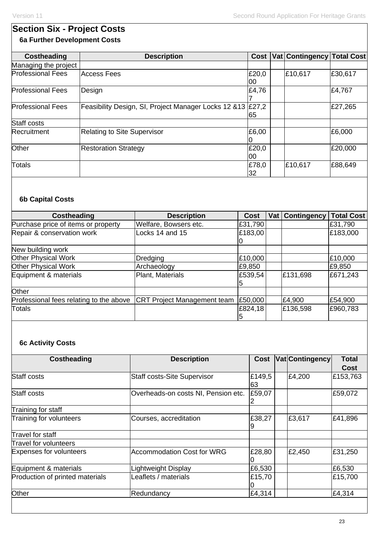# **Section Six - Project Costs 6a Further Development Costs**

| <b>Costheading</b>       | <b>Description</b>                                           |              | Cost Vat Contingency Total Cost |         |
|--------------------------|--------------------------------------------------------------|--------------|---------------------------------|---------|
| Managing the project     |                                                              |              |                                 |         |
| <b>Professional Fees</b> | Access Fees                                                  | £20,0<br>100 | £10,617                         | £30,617 |
| <b>Professional Fees</b> | Design                                                       | £4,76        |                                 | £4,767  |
| <b>Professional Fees</b> | Feasibility Design, SI, Project Manager Locks 12 & 13 £ 27,2 | 65           |                                 | £27,265 |
| Staff costs              |                                                              |              |                                 |         |
| Recruitment              | <b>Relating to Site Supervisor</b>                           | £6,00        |                                 | £6,000  |
| Other                    | <b>Restoration Strategy</b>                                  | £20,0<br>00  |                                 | £20,000 |
| Totals                   |                                                              | £78,0<br>32  | £10,617                         | £88,649 |

# **6b Capital Costs**

| <b>Costheading</b>                      | <b>Description</b>                 | <b>Cost</b>  | Vat   Contingency | <b>Total Cost</b> |
|-----------------------------------------|------------------------------------|--------------|-------------------|-------------------|
| Purchase price of items or property     | Welfare, Bowsers etc.              | £31,790      |                   | £31,790           |
| Repair & conservation work              | Locks 14 and 15                    | £183,00      |                   | £183,000          |
|                                         |                                    |              |                   |                   |
| New building work                       |                                    |              |                   |                   |
| Other Physical Work                     | <b>Dredging</b>                    | £10,000      |                   | £10,000           |
| <b>Other Physical Work</b>              | Archaeology                        | £9,850       |                   | £9,850            |
| Equipment & materials                   | Plant, Materials                   | £539,54<br>5 | £131,698          | £671,243          |
| Other                                   |                                    |              |                   |                   |
| Professional fees relating to the above | <b>CRT Project Management team</b> | £50,000      | £4,900            | £54,900           |
| Totals                                  |                                    | £824,18<br>5 | £136,598          | £960,783          |

# **6c Activity Costs**

| <b>Description</b><br>£149,5<br>Staff costs-Site Supervisor<br>63<br>£59,07<br>Overheads-on costs NI, Pension etc. |                                                                                                            | <b>Vat Contingency</b><br>£4,200               | Cost<br>£153,763 |
|--------------------------------------------------------------------------------------------------------------------|------------------------------------------------------------------------------------------------------------|------------------------------------------------|------------------|
|                                                                                                                    |                                                                                                            |                                                |                  |
|                                                                                                                    |                                                                                                            |                                                |                  |
|                                                                                                                    |                                                                                                            |                                                | £59,072          |
|                                                                                                                    |                                                                                                            |                                                |                  |
| 9                                                                                                                  |                                                                                                            | £3,617                                         | £41,896          |
|                                                                                                                    |                                                                                                            |                                                |                  |
|                                                                                                                    |                                                                                                            |                                                |                  |
|                                                                                                                    |                                                                                                            | £2,450                                         | £31,250          |
|                                                                                                                    |                                                                                                            |                                                | £6,530           |
|                                                                                                                    |                                                                                                            |                                                | £15,700          |
|                                                                                                                    |                                                                                                            |                                                | £4,314           |
|                                                                                                                    | Courses, accreditation<br><b>Accommodation Cost for WRG</b><br>Lightweight Display<br>Leaflets / materials | £38,27<br>£28,80<br>£6,530<br>£15,70<br>£4,314 |                  |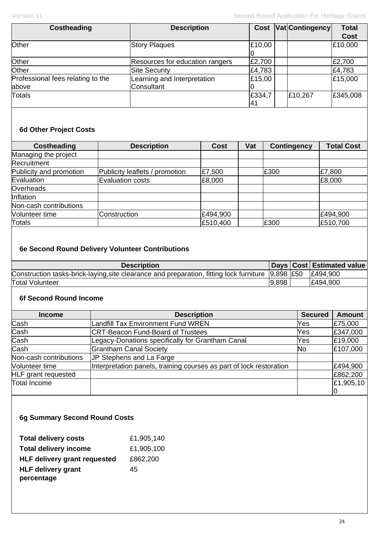| <b>Costheading</b>                | <b>Description</b>              | <b>Cost</b> | Vat Contingency | <b>Total</b> |
|-----------------------------------|---------------------------------|-------------|-----------------|--------------|
|                                   |                                 |             |                 | <b>Cost</b>  |
| Other                             | <b>Story Plaques</b>            | £10,00      |                 | £10,000      |
|                                   |                                 |             |                 |              |
| Other                             | Resources for education rangers | £2,700      |                 | £2,700       |
| Other                             | <b>Site Security</b>            | £4,783      |                 | £4,783       |
| Professional fees relating to the | Learning and Interpretation     | £15,00      |                 | £15,000      |
| above                             | Consultant                      |             |                 |              |
| <b>Totals</b>                     |                                 | £334,7      | £10,267         | £345,008     |
|                                   |                                 | l41         |                 |              |

# **6d Other Project Costs**

| <b>Costheading</b>      | <b>Description</b>             | <b>Cost</b> | Vat | <b>Contingency</b> | <b>Total Cost</b> |
|-------------------------|--------------------------------|-------------|-----|--------------------|-------------------|
| Managing the project    |                                |             |     |                    |                   |
| Recruitment             |                                |             |     |                    |                   |
| Publicity and promotion | Publicity leaflets / promotion | £7,500      |     | E300               | £7,800            |
| Evaluation              | <b>Evaluation costs</b>        | £8,000      |     |                    | £8,000            |
| Overheads               |                                |             |     |                    |                   |
| Inflation               |                                |             |     |                    |                   |
| Non-cash contributions  |                                |             |     |                    |                   |
| Volunteer time          | Construction                   | £494,900    |     |                    | £494,900          |
| <b>Totals</b>           |                                | £510,400    |     | E300               | £510,700          |

# **6e Second Round Delivery Volunteer Contributions**

| <b>Description</b>                                                                                            |       | Days   Cost   Estimated value |
|---------------------------------------------------------------------------------------------------------------|-------|-------------------------------|
| Construction tasks-brick-laying, site clearance and preparation, fitting lock furniture $ 9,898 E50 E494,900$ |       |                               |
| <b>Total Volunteer</b>                                                                                        | 9,898 | E494,900                      |

# **6f Second Round Income**

| <b>Income</b>              | <b>Description</b>                                                  | <b>Secured</b> | <b>Amount</b> |
|----------------------------|---------------------------------------------------------------------|----------------|---------------|
| Cash                       | <b>Landfill Tax Environment Fund WREN</b>                           | Yes            | £75,000       |
| Cash                       | <b>CRT-Beacon Fund-Board of Trustees</b>                            | Yes            | £347,000      |
| Cash                       | Legacy-Donations specifically for Grantham Canal                    | Yes            | £19,000       |
| Cash                       | <b>Grantham Canal Society</b>                                       | <b>No</b>      | £107,000      |
| Non-cash contributions     | JP Stephens and La Farge                                            |                |               |
| Volunteer time             | Interpretation panels, training courses as part of lock restoration |                | £494,900      |
| <b>HLF</b> grant requested |                                                                     |                | £862,200      |
| Total Income               |                                                                     |                | £1,905,10     |
|                            |                                                                     |                |               |

# **6g Summary Second Round Costs**

| <b>Total delivery costs</b>         | £1,905,140 |
|-------------------------------------|------------|
| <b>Total delivery income</b>        | £1,905,100 |
| <b>HLF delivery grant requested</b> | £862,200   |
| <b>HLF delivery grant</b>           | 45         |
| percentage                          |            |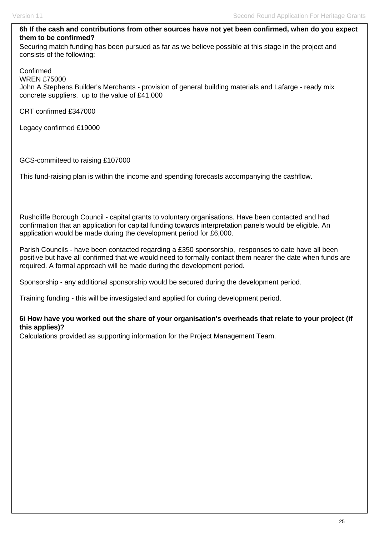# **6h If the cash and contributions from other sources have not yet been confirmed, when do you expect them to be confirmed?**

Securing match funding has been pursued as far as we believe possible at this stage in the project and consists of the following:

Confirmed

WREN £75000

John A Stephens Builder's Merchants - provision of general building materials and Lafarge - ready mix concrete suppliers. up to the value of £41,000

CRT confirmed £347000

Legacy confirmed £19000

GCS-commiteed to raising £107000

This fund-raising plan is within the income and spending forecasts accompanying the cashflow.

Rushcliffe Borough Council - capital grants to voluntary organisations. Have been contacted and had confirmation that an application for capital funding towards interpretation panels would be eligible. An application would be made during the development period for £6,000.

Parish Councils - have been contacted regarding a £350 sponsorship, responses to date have all been positive but have all confirmed that we would need to formally contact them nearer the date when funds are required. A formal approach will be made during the development period.

Sponsorship - any additional sponsorship would be secured during the development period.

Training funding - this will be investigated and applied for during development period.

## **6i How have you worked out the share of your organisation's overheads that relate to your project (if this applies)?**

Calculations provided as supporting information for the Project Management Team.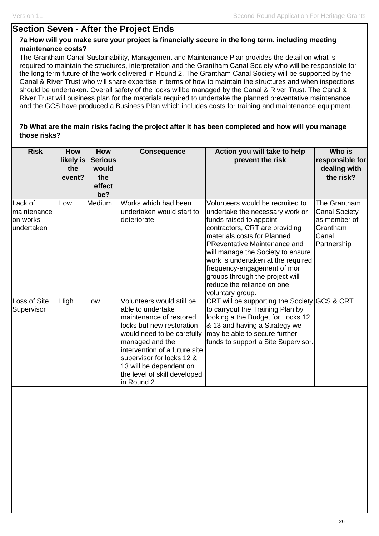# **Section Seven - After the Project Ends**

## **7a How will you make sure your project is financially secure in the long term, including meeting maintenance costs?**

The Grantham Canal Sustainability, Management and Maintenance Plan provides the detail on what is required to maintain the structures, interpretation and the Grantham Canal Society who will be responsible for the long term future of the work delivered in Round 2. The Grantham Canal Society will be supported by the Canal & River Trust who will share expertise in terms of how to maintain the structures and when inspections should be undertaken. Overall safety of the locks willbe managed by the Canal & River Trust. The Canal & River Trust will business plan for the materials required to undertake the planned preventative maintenance and the GCS have produced a Business Plan which includes costs for training and maintenance equipment.

## **7b What are the main risks facing the project after it has been completed and how will you manage those risks?**

| <b>Risk</b>                                      | <b>How</b><br>likely is<br>the<br>event? | <b>How</b><br><b>Serious</b><br>would<br>the<br>effect<br>be? | <b>Consequence</b>                                                                                                                                                                                                                                                                             | Action you will take to help<br>prevent the risk                                                                                                                                                                                                                                                                                                                                                      | Who is<br>responsible for<br>dealing with<br>the risk?                                   |
|--------------------------------------------------|------------------------------------------|---------------------------------------------------------------|------------------------------------------------------------------------------------------------------------------------------------------------------------------------------------------------------------------------------------------------------------------------------------------------|-------------------------------------------------------------------------------------------------------------------------------------------------------------------------------------------------------------------------------------------------------------------------------------------------------------------------------------------------------------------------------------------------------|------------------------------------------------------------------------------------------|
| Lack of<br>maintenance<br>on works<br>undertaken | Low                                      | Medium                                                        | Works which had been<br>undertaken would start to<br>deteriorate                                                                                                                                                                                                                               | Volunteers would be recruited to<br>undertake the necessary work or<br>funds raised to appoint<br>contractors, CRT are providing<br>materials costs for Planned<br><b>PReventative Maintenance and</b><br>will manage the Society to ensure<br>work is undertaken at the required<br>frequency-engagement of mor<br>groups through the project will<br>reduce the reliance on one<br>voluntary group. | The Grantham<br><b>Canal Society</b><br>as member of<br>Grantham<br>Canal<br>Partnership |
| Loss of Site<br>Supervisor                       | High                                     | Low                                                           | Volunteers would still be<br>able to undertake<br>maintenance of restored<br>locks but new restoration<br>would need to be carefully<br>managed and the<br>intervention of a future site<br>supervisor for locks 12 &<br>13 will be dependent on<br>the level of skill developed<br>in Round 2 | CRT will be supporting the Society GCS & CRT<br>to carryout the Training Plan by<br>looking a the Budget for Locks 12<br>& 13 and having a Strategy we<br>may be able to secure further<br>funds to support a Site Supervisor.                                                                                                                                                                        |                                                                                          |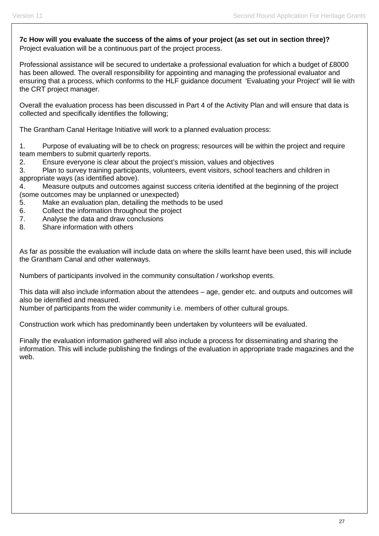**7c How will you evaluate the success of the aims of your project (as set out in section three)?**  Project evaluation will be a continuous part of the project process.

Professional assistance will be secured to undertake a professional evaluation for which a budget of £8000 has been allowed. The overall responsibility for appointing and managing the professional evaluator and ensuring that a process, which conforms to the HLF guidance document 'Evaluating your Project' will lie with the CRT project manager.

Overall the evaluation process has been discussed in Part 4 of the Activity Plan and will ensure that data is collected and specifically identifies the following;

The Grantham Canal Heritage Initiative will work to a planned evaluation process:

1. Purpose of evaluating will be to check on progress; resources will be within the project and require team members to submit quarterly reports.

2. Ensure everyone is clear about the project's mission, values and objectives

3. Plan to survey training participants, volunteers, event visitors, school teachers and children in appropriate ways (as identified above).

4. Measure outputs and outcomes against success criteria identified at the beginning of the project (some outcomes may be unplanned or unexpected)

5. Make an evaluation plan, detailing the methods to be used

- 6. Collect the information throughout the project
- 7. Analyse the data and draw conclusions
- 8. Share information with others

As far as possible the evaluation will include data on where the skills learnt have been used, this will include the Grantham Canal and other waterways.

Numbers of participants involved in the community consultation / workshop events.

This data will also include information about the attendees – age, gender etc. and outputs and outcomes will also be identified and measured.

Number of participants from the wider community i.e. members of other cultural groups.

Construction work which has predominantly been undertaken by volunteers will be evaluated.

Finally the evaluation information gathered will also include a process for disseminating and sharing the information. This will include publishing the findings of the evaluation in appropriate trade magazines and the web.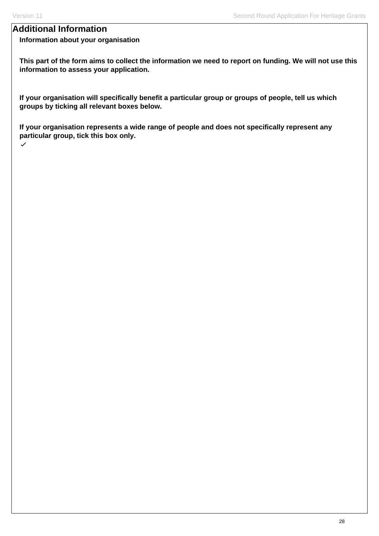# **Additional Information**

# **Information about your organisation**

**This part of the form aims to collect the information we need to report on funding. We will not use this information to assess your application.**

**If your organisation will specifically benefit a particular group or groups of people, tell us which groups by ticking all relevant boxes below.** 

**If your organisation represents a wide range of people and does not specifically represent any particular group, tick this box only.**  $\checkmark$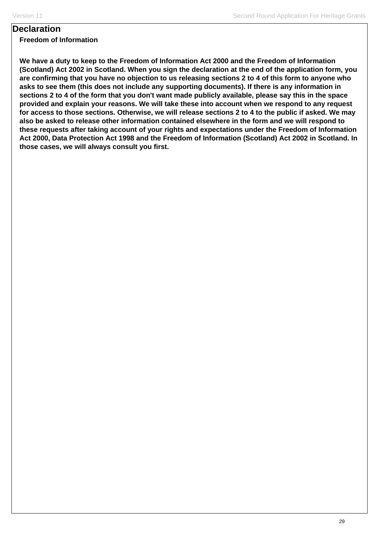# **Declaration**

**Freedom of Information**

**We have a duty to keep to the Freedom of Information Act 2000 and the Freedom of Information (Scotland) Act 2002 in Scotland. When you sign the declaration at the end of the application form, you are confirming that you have no objection to us releasing sections 2 to 4 of this form to anyone who asks to see them (this does not include any supporting documents). If there is any information in sections 2 to 4 of the form that you don't want made publicly available, please say this in the space provided and explain your reasons. We will take these into account when we respond to any request for access to those sections. Otherwise, we will release sections 2 to 4 to the public if asked. We may also be asked to release other information contained elsewhere in the form and we will respond to these requests after taking account of your rights and expectations under the Freedom of Information Act 2000, Data Protection Act 1998 and the Freedom of Information (Scotland) Act 2002 in Scotland. In those cases, we will always consult you first.**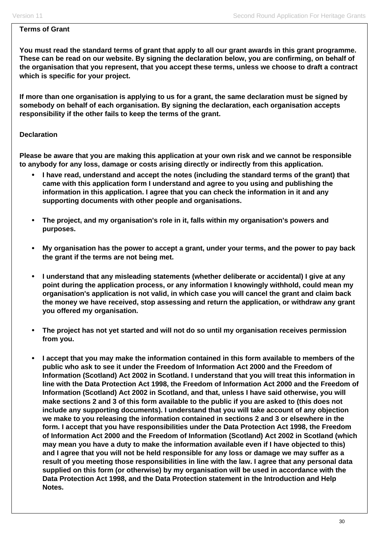### **Terms of Grant**

**You must read the standard terms of grant that apply to all our grant awards in this grant programme. These can be read on our website. By signing the declaration below, you are confirming, on behalf of the organisation that you represent, that you accept these terms, unless we choose to draft a contract which is specific for your project.** 

**If more than one organisation is applying to us for a grant, the same declaration must be signed by somebody on behalf of each organisation. By signing the declaration, each organisation accepts responsibility if the other fails to keep the terms of the grant.** 

## **Declaration**

**Please be aware that you are making this application at your own risk and we cannot be responsible to anybody for any loss, damage or costs arising directly or indirectly from this application.** 

- **I have read, understand and accept the notes (including the standard terms of the grant) that came with this application form I understand and agree to you using and publishing the information in this application. I agree that you can check the information in it and any supporting documents with other people and organisations.**
- **The project, and my organisation's role in it, falls within my organisation's powers and purposes.**
- **My organisation has the power to accept a grant, under your terms, and the power to pay back the grant if the terms are not being met.**
- **I understand that any misleading statements (whether deliberate or accidental) I give at any point during the application process, or any information I knowingly withhold, could mean my organisation's application is not valid, in which case you will cancel the grant and claim back the money we have received, stop assessing and return the application, or withdraw any grant you offered my organisation.**
- **The project has not yet started and will not do so until my organisation receives permission from you.**
- **I accept that you may make the information contained in this form available to members of the public who ask to see it under the Freedom of Information Act 2000 and the Freedom of Information (Scotland) Act 2002 in Scotland. I understand that you will treat this information in line with the Data Protection Act 1998, the Freedom of Information Act 2000 and the Freedom of Information (Scotland) Act 2002 in Scotland, and that, unless I have said otherwise, you will make sections 2 and 3 of this form available to the public if you are asked to (this does not include any supporting documents). I understand that you will take account of any objection we make to you releasing the information contained in sections 2 and 3 or elsewhere in the form. I accept that you have responsibilities under the Data Protection Act 1998, the Freedom of Information Act 2000 and the Freedom of Information (Scotland) Act 2002 in Scotland (which may mean you have a duty to make the information available even if I have objected to this) and I agree that you will not be held responsible for any loss or damage we may suffer as a result of you meeting those responsibilities in line with the law. I agree that any personal data supplied on this form (or otherwise) by my organisation will be used in accordance with the Data Protection Act 1998, and the Data Protection statement in the Introduction and Help Notes.**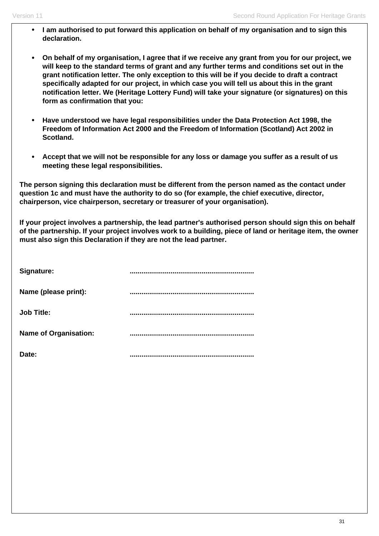- **I am authorised to put forward this application on behalf of my organisation and to sign this declaration.**
- **On behalf of my organisation, I agree that if we receive any grant from you for our project, we will keep to the standard terms of grant and any further terms and conditions set out in the grant notification letter. The only exception to this will be if you decide to draft a contract specifically adapted for our project, in which case you will tell us about this in the grant notification letter. We (Heritage Lottery Fund) will take your signature (or signatures) on this form as confirmation that you:**
- **Have understood we have legal responsibilities under the Data Protection Act 1998, the Freedom of Information Act 2000 and the Freedom of Information (Scotland) Act 2002 in Scotland.**
- **Accept that we will not be responsible for any loss or damage you suffer as a result of us meeting these legal responsibilities.**

**The person signing this declaration must be different from the person named as the contact under question 1c and must have the authority to do so (for example, the chief executive, director, chairperson, vice chairperson, secretary or treasurer of your organisation).**

**If your project involves a partnership, the lead partner's authorised person should sign this on behalf of the partnership. If your project involves work to a building, piece of land or heritage item, the owner must also sign this Declaration if they are not the lead partner.** 

| Signature:                   |  |
|------------------------------|--|
| Name (please print):         |  |
| <b>Job Title:</b>            |  |
| <b>Name of Organisation:</b> |  |
| Date:                        |  |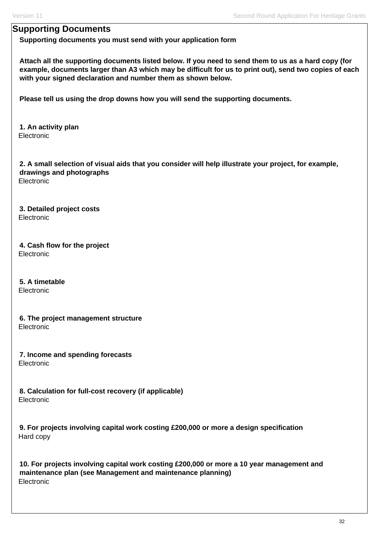# **Supporting Documents**

**Supporting documents you must send with your application form**

**Attach all the supporting documents listed below. If you need to send them to us as a hard copy (for example, documents larger than A3 which may be difficult for us to print out), send two copies of each with your signed declaration and number them as shown below.** 

**Please tell us using the drop downs how you will send the supporting documents.** 

**1. An activity plan**  Electronic

**2. A small selection of visual aids that you consider will help illustrate your project, for example, drawings and photographs**  Electronic

**3. Detailed project costs**  Electronic

**4. Cash flow for the project Electronic** 

**5. A timetable**  Electronic

**6. The project management structure**  Electronic

**7. Income and spending forecasts**  Electronic

**8. Calculation for full-cost recovery (if applicable)**  Electronic

**9. For projects involving capital work costing £200,000 or more a design specification**  Hard copy

**10. For projects involving capital work costing £200,000 or more a 10 year management and maintenance plan (see Management and maintenance planning)**  Electronic